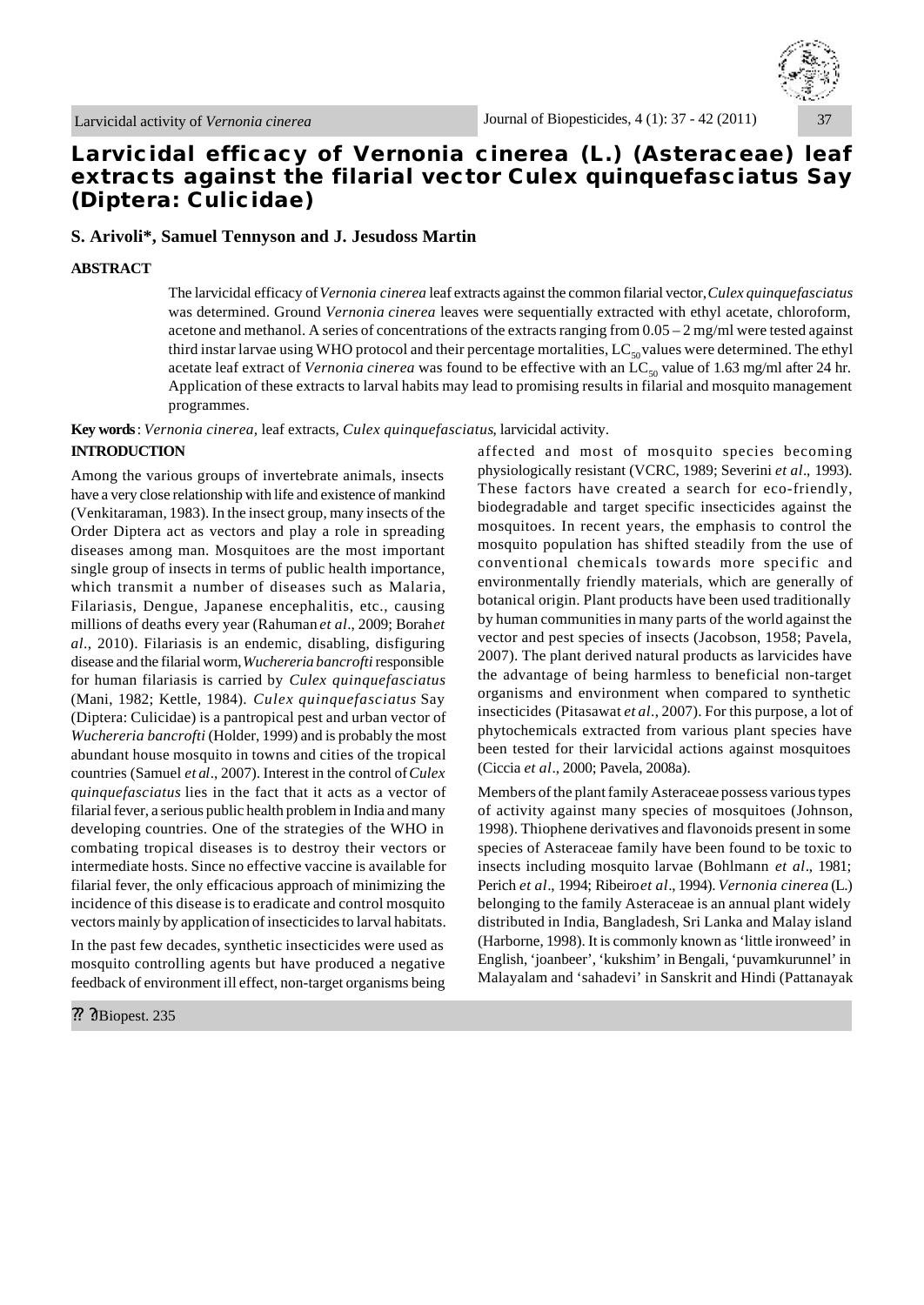

# **Larvicidal efficacy of** *Vernonia cinerea* **(L.) (Asteraceae) leaf extracts against the filarial vector** *Culex quinquefasciatus* **Say (Diptera: Culicidae)**

# **S. Arivoli\*, Samuel Tennyson and J. Jesudoss Martin**

#### **ABSTRACT**

The larvicidal efficacy of *Vernonia cinerea* leaf extracts against the common filarial vector, *Culex quinquefasciatus* was determined. Ground *Vernonia cinerea* leaves were sequentially extracted with ethyl acetate, chloroform, acetone and methanol. A series of concentrations of the extracts ranging from  $0.05 - 2$  mg/ml were tested against third instar larvae using WHO protocol and their percentage mortalities,  $LC_{so}$  values were determined. The ethyl acetate leaf extract of *Vernonia cinerea* was found to be effective with an LC<sub>50</sub> value of 1.63 mg/ml after 24 hr. Application of these extracts to larval habits may lead to promising results in filarial and mosquito management programmes.

**Key words**: *Vernonia cinerea,* leaf extracts, *Culex quinquefasciatus*, larvicidal activity.

# **INTRODUCTION**

Among the various groups of invertebrate animals, insects have a very close relationship with life and existence of mankind (Venkitaraman, 1983). In the insect group, many insects of the Order Diptera act as vectors and play a role in spreading diseases among man. Mosquitoes are the most important single group of insects in terms of public health importance, which transmit a number of diseases such as Malaria, Filariasis, Dengue, Japanese encephalitis, etc., causing millions of deaths every year (Rahuman *et al.*, 2009; Borah *et al*., 2010). Filariasis is an endemic, disabling, disfiguring disease and the filarial worm, *Wuchereria bancrofti* responsible for human filariasis is carried by *Culex quinquefasciatus* (Mani, 1982; Kettle, 1984). *Culex quinquefasciatus* Say (Diptera: Culicidae) is a pantropical pest and urban vector of *Wuchereria bancrofti* (Holder, 1999) and is probably the most abundant house mosquito in towns and cities of the tropical countries (Samuel *et al*., 2007). Interest in the control of *Culex quinquefasciatus* lies in the fact that it acts as a vector of filarial fever, a serious public health problem in India and many developing countries. One of the strategies of the WHO in combating tropical diseases is to destroy their vectors or intermediate hosts. Since no effective vaccine is available for filarial fever, the only efficacious approach of minimizing the incidence of this disease is to eradicate and control mosquito vectors mainly by application of insecticides to larval habitats.

In the past few decades, synthetic insecticides were used as mosquito controlling agents but have produced a negative feedback of environment ill effect, non-target organisms being

?? ?JBiopest. 235

affected and most of mosquito species becoming physiologically resistant (VCRC, 1989; Severini *et al*., 1993). These factors have created a search for eco-friendly, biodegradable and target specific insecticides against the mosquitoes. In recent years, the emphasis to control the mosquito population has shifted steadily from the use of conventional chemicals towards more specific and environmentally friendly materials, which are generally of botanical origin. Plant products have been used traditionally by human communities in many parts of the world against the vector and pest species of insects (Jacobson, 1958; Pavela, 2007). The plant derived natural products as larvicides have the advantage of being harmless to beneficial non-target organisms and environment when compared to synthetic insecticides (Pitasawat *et al*., 2007). For this purpose, a lot of phytochemicals extracted from various plant species have been tested for their larvicidal actions against mosquitoes (Ciccia *et al*., 2000; Pavela, 2008a).

Members of the plant family Asteraceae possess various types of activity against many species of mosquitoes (Johnson, 1998). Thiophene derivatives and flavonoids present in some species of Asteraceae family have been found to be toxic to insects including mosquito larvae (Bohlmann *et al*., 1981; Perich *et al*., 1994; Ribeiro *et al*., 1994). *Vernonia cinerea* (L.) belonging to the family Asteraceae is an annual plant widely distributed in India, Bangladesh, Sri Lanka and Malay island (Harborne, 1998). It is commonly known as 'little ironweed' in English, 'joanbeer', 'kukshim' in Bengali, 'puvamkurunnel' in Malayalam and 'sahadevi' in Sanskrit and Hindi (Pattanayak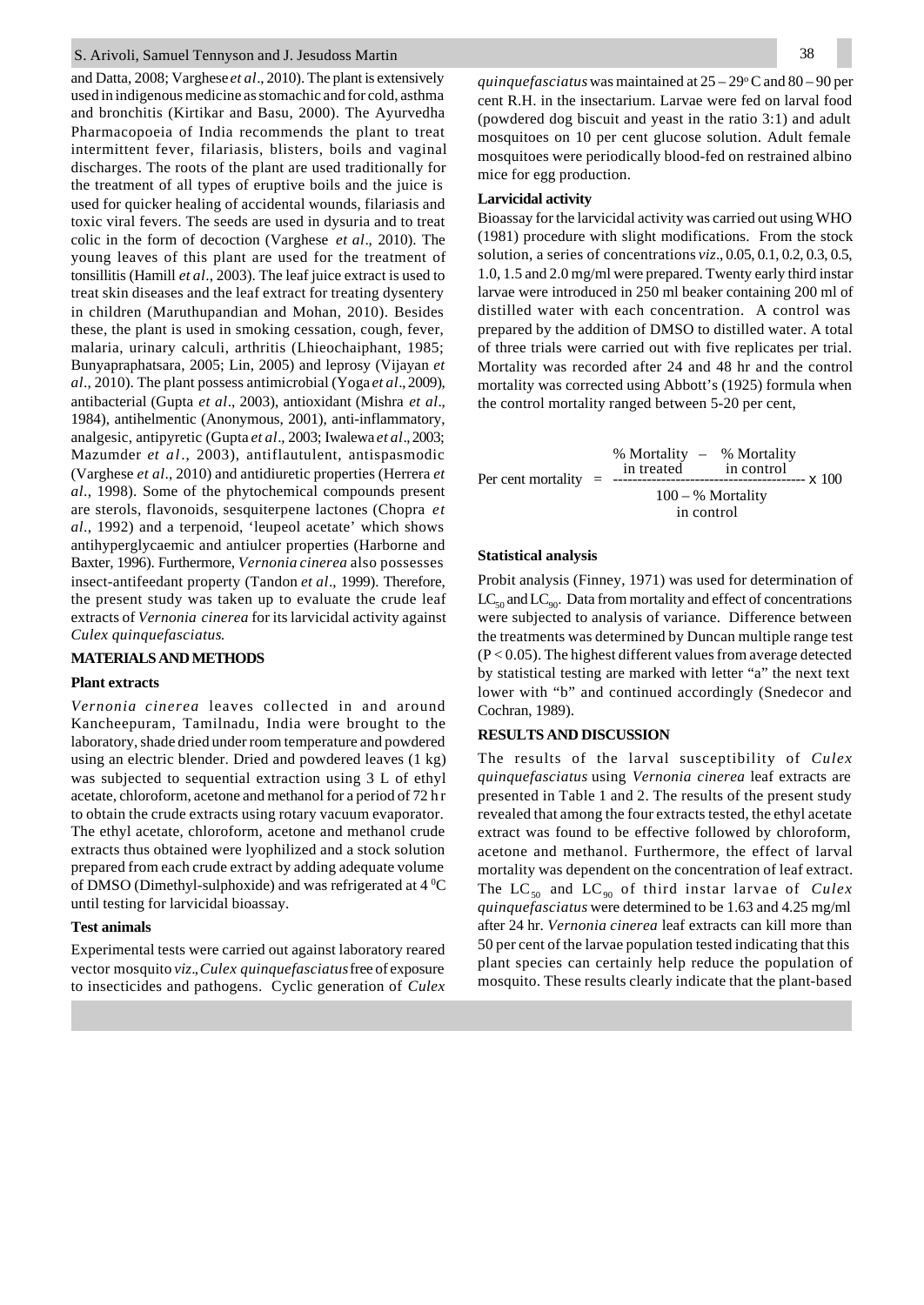#### S. Arivoli, Samuel Tennyson and J. Jesudoss Martin

and Datta, 2008; Varghese *et al*., 2010). The plant is extensively used in indigenous medicine as stomachic and for cold, asthma and bronchitis (Kirtikar and Basu, 2000). The Ayurvedha Pharmacopoeia of India recommends the plant to treat intermittent fever, filariasis, blisters, boils and vaginal discharges. The roots of the plant are used traditionally for the treatment of all types of eruptive boils and the juice is used for quicker healing of accidental wounds, filariasis and toxic viral fevers. The seeds are used in dysuria and to treat colic in the form of decoction (Varghese *et al*., 2010). The young leaves of this plant are used for the treatment of tonsillitis (Hamill *et al*., 2003). The leaf juice extract is used to treat skin diseases and the leaf extract for treating dysentery in children (Maruthupandian and Mohan, 2010). Besides these, the plant is used in smoking cessation, cough, fever, malaria, urinary calculi, arthritis (Lhieochaiphant, 1985; Bunyapraphatsara, 2005; Lin, 2005) and leprosy (Vijayan *et al*., 2010). The plant possess antimicrobial (Yoga *et al*., 2009), antibacterial (Gupta *et al*., 2003), antioxidant (Mishra *et al*., 1984), antihelmentic (Anonymous, 2001), anti-inflammatory, analgesic, antipyretic (Gupta *et al*., 2003; Iwalewa *et al*., 2003; Mazumder *et al*., 2003), antiflautulent, antispasmodic (Varghese *et al*., 2010) and antidiuretic properties (Herrera *et al*., 1998). Some of the phytochemical compounds present are sterols, flavonoids, sesquiterpene lactones (Chopra *et al*., 1992) and a terpenoid, 'leupeol acetate' which shows antihyperglycaemic and antiulcer properties (Harborne and Baxter, 1996). Furthermore, *Vernonia cinerea* also possesses insect-antifeedant property (Tandon *et al*., 1999). Therefore, the present study was taken up to evaluate the crude leaf extracts of *Vernonia cinerea* for its larvicidal activity against *Culex quinquefasciatus*.

# **MATERIALS AND METHODS**

#### **Plant extracts**

*Vernonia cinerea* leaves collected in and around Kancheepuram, Tamilnadu, India were brought to the laboratory, shade dried under room temperature and powdered using an electric blender. Dried and powdered leaves (1 kg) was subjected to sequential extraction using 3 L of ethyl acetate, chloroform, acetone and methanol for a period of 72 h r to obtain the crude extracts using rotary vacuum evaporator. The ethyl acetate, chloroform, acetone and methanol crude extracts thus obtained were lyophilized and a stock solution prepared from each crude extract by adding adequate volume of DMSO (Dimethyl-sulphoxide) and was refrigerated at  $4\degree$ C until testing for larvicidal bioassay.

### **Test animals**

Experimental tests were carried out against laboratory reared vector mosquito *viz*., *Culex quinquefasciatus* free of exposure to insecticides and pathogens. Cyclic generation of *Culex* *quinquefasciatus* was maintained at  $25 - 29$ °C and  $80 - 90$  per cent R.H. in the insectarium. Larvae were fed on larval food (powdered dog biscuit and yeast in the ratio 3:1) and adult mosquitoes on 10 per cent glucose solution. Adult female mosquitoes were periodically blood-fed on restrained albino mice for egg production.

#### **Larvicidal activity**

Bioassay for the larvicidal activity was carried out using WHO (1981) procedure with slight modifications. From the stock solution, a series of concentrations *viz*., 0.05, 0.1, 0.2, 0.3, 0.5, 1.0, 1.5 and 2.0 mg/ml were prepared. Twenty early third instar larvae were introduced in 250 ml beaker containing 200 ml of distilled water with each concentration. A control was prepared by the addition of DMSO to distilled water. A total of three trials were carried out with five replicates per trial. Mortality was recorded after 24 and 48 hr and the control mortality was corrected using Abbott's (1925) formula when the control mortality ranged between 5-20 per cent,

 % Mortality – % Mortality in treated in control Per cent mortality = ---------------------------------------- x 100  $100 - %$  Mortality in control

#### **Statistical analysis**

Probit analysis (Finney, 1971) was used for determination of  $LC_{50}$  and  $LC_{90}$ . Data from mortality and effect of concentrations were subjected to analysis of variance. Difference between the treatments was determined by Duncan multiple range test  $(P < 0.05)$ . The highest different values from average detected by statistical testing are marked with letter "a" the next text lower with "b" and continued accordingly (Snedecor and Cochran, 1989).

### **RESULTS AND DISCUSSION**

The results of the larval susceptibility of *Culex quinquefasciatus* using *Vernonia cinerea* leaf extracts are presented in Table 1 and 2. The results of the present study revealed that among the four extracts tested, the ethyl acetate extract was found to be effective followed by chloroform, acetone and methanol. Furthermore, the effect of larval mortality was dependent on the concentration of leaf extract. The LC<sub>50</sub> and LC<sub>90</sub> of third instar larvae of *Culex quinquefasciatus* were determined to be 1.63 and 4.25 mg/ml after 24 hr. *Vernonia cinerea* leaf extracts can kill more than 50 per cent of the larvae population tested indicating that this plant species can certainly help reduce the population of mosquito. These results clearly indicate that the plant-based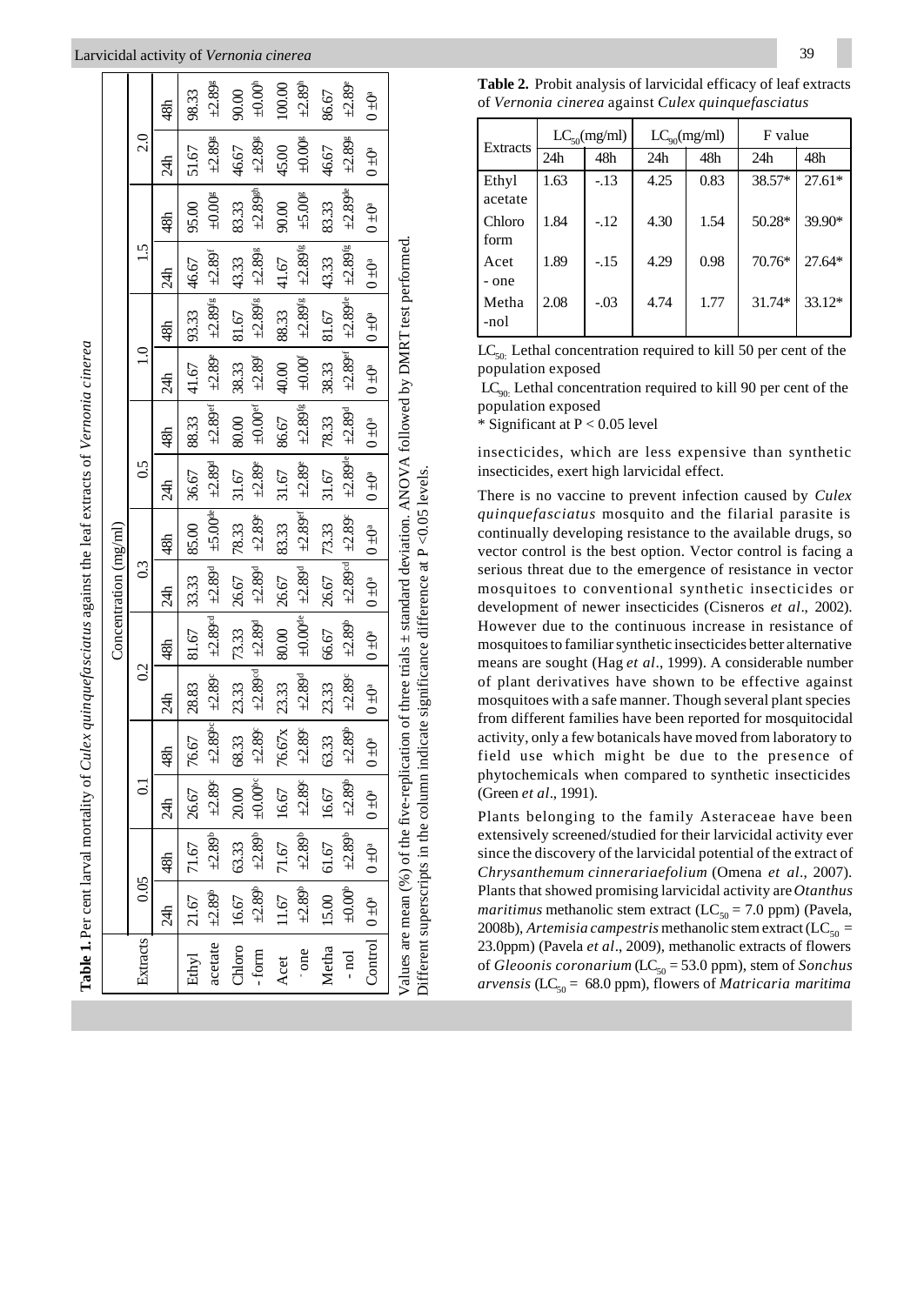### Larvicidal activity of Vernonia cinerea

|                                                                                                                                                                                                                               |                                                 |                         |                                                                      |                         |                                                  |                                                  | Concentration $(mg/ml)$                          |                |                                                  |                            |                                                                                     |                                  |                          |                         |                         |                         |
|-------------------------------------------------------------------------------------------------------------------------------------------------------------------------------------------------------------------------------|-------------------------------------------------|-------------------------|----------------------------------------------------------------------|-------------------------|--------------------------------------------------|--------------------------------------------------|--------------------------------------------------|----------------|--------------------------------------------------|----------------------------|-------------------------------------------------------------------------------------|----------------------------------|--------------------------|-------------------------|-------------------------|-------------------------|
| Extracts                                                                                                                                                                                                                      | 0.05                                            |                         | ្ត                                                                   |                         | $\overline{0.2}$                                 |                                                  | 0.3                                              |                | $\overline{0.5}$                                 |                            | $\Xi$                                                                               |                                  | 1.5                      |                         | $\overline{c}$          |                         |
|                                                                                                                                                                                                                               | 24h                                             | 48h                     | र्वे                                                                 | 48h                     | र्ट्य                                            | 48h                                              | र्वे                                             | 48h            | र्ट्य                                            | 48h                        | र्ट्य                                                                               | 48h                              | र्ट्य                    | 48h                     | र्वे                    | 48h                     |
| Ethyl                                                                                                                                                                                                                         | $ 21.67 $ $ 71.67 $ $ 26.67 $                   |                         |                                                                      | 76.67                   | 28.83                                            | 81.67                                            | 33.33                                            | 85.00          | 36.67                                            | 88.33                      | 41.67                                                                               | 93.33                            | 46.67                    | 95.00                   | 51.67                   | 98.33                   |
| acetate                                                                                                                                                                                                                       | $  +2.89^{\circ}$                               |                         | $\pm 2.89^{\circ}$ $\pm 2.89^{\circ}$                                |                         | $\pm 2.89$ <sup>bc</sup> $\pm 2.89$ <sup>c</sup> | $\pm 2.89$ <sup>cd</sup> $\pm 2.89$ <sup>d</sup> |                                                  |                | $\pm 5.00$ <sup>de</sup> $\pm 2.89$ <sup>d</sup> | $+2.89$ <sup>er</sup>      | $+2.89$                                                                             | $\pm 2.89^{fg}$   $\pm 2.89^{f}$ |                          | $\pm 0.00$ <sup>g</sup> | $\pm 2.89$ <sup>g</sup> | $\pm 2.89$ <sup>g</sup> |
|                                                                                                                                                                                                                               | Chloro $  16.67$                                | 63.33                   | 20.00                                                                | 68.33                   | 23.33                                            | 73.33                                            | 26.67                                            | 78.33          | 31.67                                            | $\frac{1}{80.00}$          | 38.33                                                                               | 81.67                            | 43.33                    | 83.33                   | 46.67                   | 90.00                   |
| form                                                                                                                                                                                                                          |                                                 |                         | $-2.89$ <sup>-</sup> $\pm 2.89$ <sup>-</sup> $\pm 0.00$ <sup>-</sup> | $\pm 2.89^{\circ}$      |                                                  | $\pm 2.89$ <sup>cd</sup> $\pm 2.89$ <sup>d</sup> | $+2.89d$                                         | $\pm 2.89$     | $+2.89^{\circ}$                                  | $\pm 0.00$ <sup>er</sup>   | $+2.89$ <sup>r</sup>                                                                | $\pm 2.89$ fg                    | $\pm 2.89$ <sup>g</sup>  | $\pm 2.89$ gh           | $+2.89$ <sup>g</sup>    | $\pm 0.00$ <sup>h</sup> |
| Acet                                                                                                                                                                                                                          |                                                 | $11.67$   71.67   16.67 |                                                                      | 76.67x                  | 2333                                             | 80.00                                            | 26.67                                            | 83.33          | 31.67                                            | 86.67                      | 40.00                                                                               | 88.33                            | 41.67                    | 90.00                   | 45.00                   | 100.00                  |
| one                                                                                                                                                                                                                           | $+2.89^{\circ}$                                 | $\pm 2.89^{\circ}$      | $\pm 2.89^{\circ}$                                                   | $_{+2.89}^{\circ}$      | $\pm 2.89^{\rm d}$                               |                                                  | $\pm 0.00$ <sup>de</sup> $\pm 2.89$ <sup>d</sup> | $\pm 2.89$ er  | $\pm 2.89$                                       | $+2.89^{\circ}$            | $\pm 0.00^{\circ}$                                                                  | $\pm 2.89$ <sup>fg</sup>         | $\pm 2.89$ <sup>fg</sup> | $\pm 5.00$ <sup>g</sup> | $\pm 0.00$ <sup>g</sup> | $\pm 2.89^{\text{h}}$   |
| Metha                                                                                                                                                                                                                         | $ 15.00 $ $ 61.67 $ $ 16.67 $                   |                         |                                                                      | 63.33                   | 23.33                                            |                                                  | 66.67   26.67   73.33                            |                | 31.67                                            | 78.33                      | 38.33                                                                               | 81.67                            | 43.33                    | 83.33                   | 46.67                   | 86.67                   |
| $-$ nol                                                                                                                                                                                                                       | $\pm 0.00^{\circ}$                              |                         | $\pm 2.89^{\circ}$ $\pm 2.89^{\circ}$                                | $\pm 2.89$ <sup>b</sup> | $+2.89^{\circ}$                                  | $\pm 2.89$ <sup>b</sup>                          | $\pm 2.89$ <sup>cd</sup> $\pm 2.89$ <sup>c</sup> |                |                                                  | $\pm 2.89$ de $\pm 2.89$ d | $\pm 2.89$ ef                                                                       | $\pm 2.89$ de                    | $\pm 2.89$ <sup>tg</sup> | $\pm 2.89$ de           | $\pm 2.89$ <sup>g</sup> | $\pm 2.89^{\circ}$      |
|                                                                                                                                                                                                                               | Control $0 \pm 0^a$   $0 \pm 0^a$   $0 \pm 0^a$ |                         |                                                                      | _<br>() ±               | $\frac{5}{10}$                                   | $ 0 \pm 0$ <sup>a</sup>                          | $10 + 0^a$                                       | $\frac{6}{10}$ | $0 + 0 = 0 + 0$                                  |                            | $\begin{array}{ c c c c c } \hline 0 & \pm 0^a & 0 & \pm 0^a \\ \hline \end{array}$ |                                  | $\frac{5}{10}$           | $\sum_{i=1}^{n}$        | $\sum_{i=1}^{n}$        | $\tilde{Q}^* = 0$       |
| Values are mean (%) of the five-replication of three trials $\pm$ standard deviation. ANOVA followed by DMRT test performed<br>Different superscripts in the column indicate significance difference at $P \leq 0.05$ levels. |                                                 |                         |                                                                      |                         |                                                  |                                                  |                                                  |                |                                                  |                            |                                                                                     |                                  |                          |                         |                         |                         |

|  |                                                    | <b>Table 2.</b> Probit analysis of larvicidal efficacy of leaf extracts |
|--|----------------------------------------------------|-------------------------------------------------------------------------|
|  | of Vernonia cinerea against Culex quinquefasciatus |                                                                         |

| Extracts         |      | $LC_{50}$ (mg/ml) |      | $LC_{\rm q0}(mg/ml)$ | F value |          |
|------------------|------|-------------------|------|----------------------|---------|----------|
|                  | 24h  | 48h               | 24h  | 48h                  | 24h     | 48h      |
| Ethyl<br>acetate | 1.63 | $-13$             | 4.25 | 0.83                 | 38.57*  | $27.61*$ |
| Chloro<br>form   | 1.84 | $-.12$            | 4.30 | 1.54                 | 50.28*  | 39.90*   |
| Acet<br>- one    | 1.89 | $-.15$            | 4.29 | 0.98                 | 70.76*  | $27.64*$ |
| Metha<br>-nol    | 2.08 | $-.03$            | 4.74 | 1.77                 | 31.74*  | $33.12*$ |

 $LC_{50}$ . Lethal concentration required to kill 50 per cent of the population exposed

 $LC_{\text{qo}}$ . Lethal concentration required to kill 90 per cent of the population exposed

\* Significant at  $P < 0.05$  level

insecticides, which are less expensive than synthetic insecticides, exert high larvicidal effect.

There is no vaccine to prevent infection caused by Culex quinquefasciatus mosquito and the filarial parasite is continually developing resistance to the available drugs, so vector control is the best option. Vector control is facing a serious threat due to the emergence of resistance in vector mosquitoes to conventional synthetic insecticides or development of newer insecticides (Cisneros et al., 2002). However due to the continuous increase in resistance of mosquitoes to familiar synthetic insecticides better alternative means are sought (Hag et al., 1999). A considerable number of plant derivatives have shown to be effective against mosquitoes with a safe manner. Though several plant species from different families have been reported for mosquitocidal activity, only a few botanicals have moved from laboratory to field use which might be due to the presence of phytochemicals when compared to synthetic insecticides (Green et al., 1991).

Plants belonging to the family Asteraceae have been extensively screened/studied for their larvicidal activity ever since the discovery of the larvicidal potential of the extract of Chrysanthemum cinnerariaefolium (Omena et al., 2007). Plants that showed promising larvicidal activity are Otanthus *maritimus* methanolic stem extract (LC<sub>50</sub> = 7.0 ppm) (Pavela, 2008b), Artemisia campestris methanolic stem extract (LC<sub>50</sub> = 23.0ppm) (Pavela et al., 2009), methanolic extracts of flowers of Gleoonis coronarium (LC<sub>50</sub> = 53.0 ppm), stem of Sonchus arvensis (LC<sub>50</sub> = 68.0 ppm), flowers of *Matricaria maritima*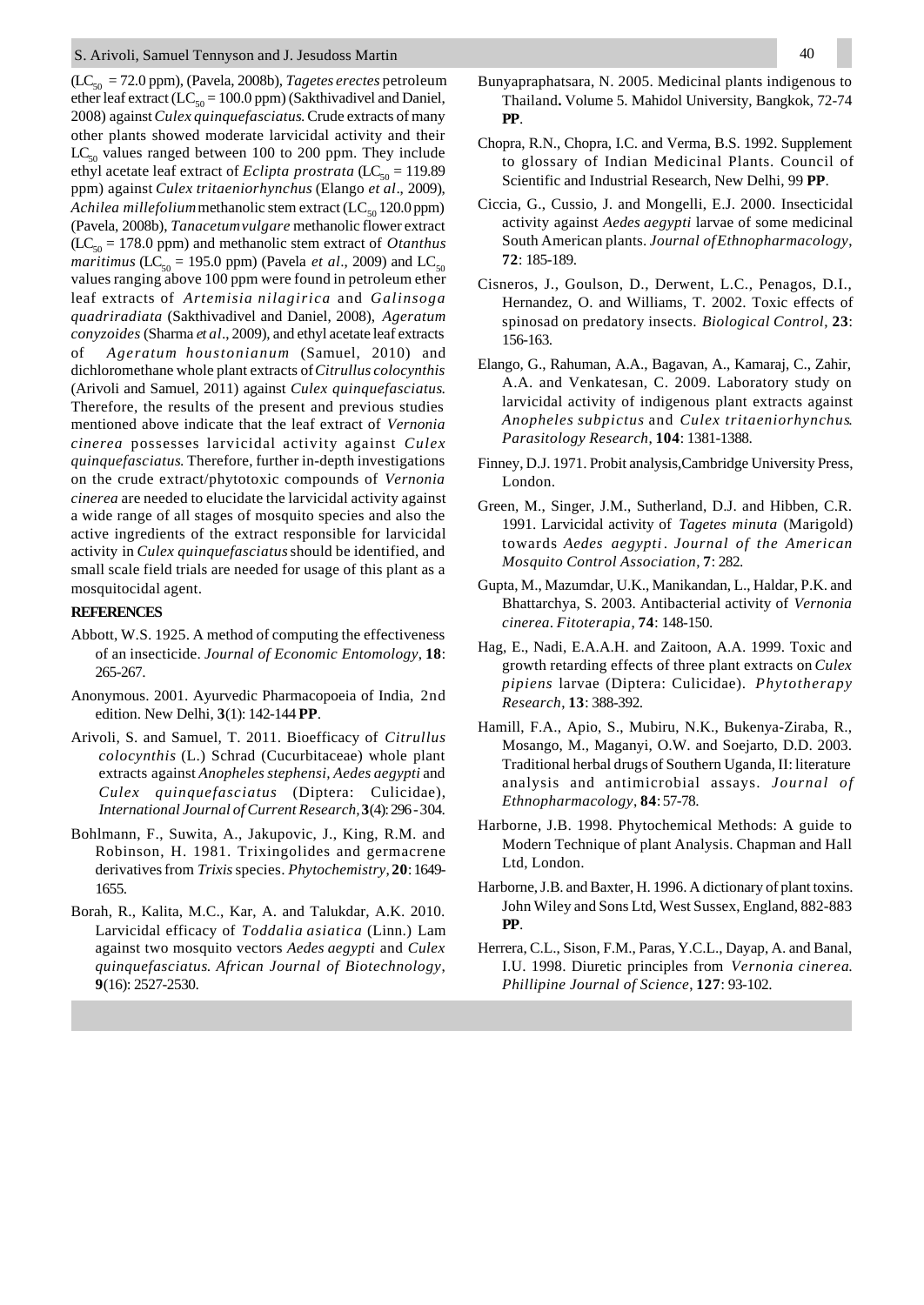(LC50 = 72.0 ppm), (Pavela, 2008b), *Tagetes erectes* petroleum ether leaf extract (LC<sub>50</sub> = 100.0 ppm) (Sakthivadivel and Daniel, 2008) against *Culex quinquefasciatus*. Crude extracts of many other plants showed moderate larvicidal activity and their  $LC_{50}$  values ranged between 100 to 200 ppm. They include ethyl acetate leaf extract of *Eclipta prostrata* (LC<sub>50</sub> = 119.89) ppm) against *Culex tritaeniorhynchus* (Elango *et al*., 2009), *Achilea millefolium* methanolic stem extract ( $LC_{50}$  120.0 ppm) (Pavela, 2008b), *Tanacetumvulgare* methanolic flower extract  $(LC<sub>50</sub> = 178.0$  ppm) and methanolic stem extract of *Otanthus maritimus* (LC<sub>50</sub> = 195.0 ppm) (Pavela *et al.*, 2009) and LC<sub>50</sub> values ranging above 100 ppm were found in petroleum ether leaf extracts of *Artemisia nilagirica* and *Galinsoga quadriradiata* (Sakthivadivel and Daniel, 2008), *Ageratum conyzoides* (Sharma *et al*., 2009), and ethyl acetate leaf extracts of *Ageratum houstonianum* (Samuel, 2010) and dichloromethane whole plant extracts of *Citrullus colocynthis* (Arivoli and Samuel, 2011) against *Culex quinquefasciatus*. Therefore, the results of the present and previous studies mentioned above indicate that the leaf extract of *Vernonia cinerea* possesses larvicidal activity against *Culex quinquefasciatus*. Therefore, further in-depth investigations on the crude extract/phytotoxic compounds of *Vernonia cinerea* are needed to elucidate the larvicidal activity against a wide range of all stages of mosquito species and also the active ingredients of the extract responsible for larvicidal activity in *Culex quinquefasciatus* should be identified, and small scale field trials are needed for usage of this plant as a mosquitocidal agent.

# **REFERENCES**

- Abbott, W.S. 1925. A method of computing the effectiveness of an insecticide. *Journal of Economic Entomology*, **18**: 265-267.
- Anonymous. 2001. Ayurvedic Pharmacopoeia of India, 2nd edition. New Delhi, **3**(1): 142-144 **PP**.
- Arivoli, S. and Samuel, T. 2011. Bioefficacy of *Citrullus colocynthis* (L.) Schrad (Cucurbitaceae) whole plant extracts against *Anopheles stephensi, Aedes aegypti* and *Culex quinquefasciatus* (Diptera: Culicidae), *International Journal of Current Research,* **3**(4): 296 - 304.
- Bohlmann, F., Suwita, A., Jakupovic, J., King, R.M. and Robinson, H. 1981. Trixingolides and germacrene derivatives from *Trixis* species. *Phytochemistry*, **20**: 1649- 1655.
- Borah, R., Kalita, M.C., Kar, A. and Talukdar, A.K. 2010. Larvicidal efficacy of *Toddalia asiatica* (Linn.) Lam against two mosquito vectors *Aedes aegypti* and *Culex quinquefasciatus*. *African Journal of Biotechnology*, **9**(16): 2527-2530.
- Bunyapraphatsara, N. 2005. Medicinal plants indigenous to Thailand**.** Volume 5. Mahidol University, Bangkok, 72-74 **PP**.
- Chopra, R.N., Chopra, I.C. and Verma, B.S. 1992. Supplement to glossary of Indian Medicinal Plants. Council of Scientific and Industrial Research, New Delhi, 99 **PP**.
- Ciccia, G., Cussio, J. and Mongelli, E.J. 2000. Insecticidal activity against *Aedes aegypti* larvae of some medicinal South American plants. *Journal ofEthnopharmacology*, **72**: 185-189.
- Cisneros, J., Goulson, D., Derwent, L.C., Penagos, D.I., Hernandez, O. and Williams, T. 2002. Toxic effects of spinosad on predatory insects. *Biological Control*, **23**: 156-163.
- Elango, G., Rahuman, A.A., Bagavan, A., Kamaraj, C., Zahir, A.A. and Venkatesan, C. 2009. Laboratory study on larvicidal activity of indigenous plant extracts against *Anopheles subpictus* and *Culex tritaeniorhynchus*. *Parasitology Research*, **104**: 1381-1388.
- Finney, D.J. 1971. Probit analysis,Cambridge University Press, London.
- Green, M., Singer, J.M., Sutherland, D.J. and Hibben, C.R. 1991. Larvicidal activity of *Tagetes minuta* (Marigold) towards *Aedes aegypti* . *Journal of the American Mosquito Control Association*, **7**: 282.
- Gupta, M., Mazumdar, U.K., Manikandan, L., Haldar, P.K. and Bhattarchya, S. 2003. Antibacterial activity of *Vernonia cinerea*. *Fitoterapia*, **74**: 148-150.
- Hag, E., Nadi, E.A.A.H. and Zaitoon, A.A. 1999. Toxic and growth retarding effects of three plant extracts on *Culex pipiens* larvae (Diptera: Culicidae). *Phytotherapy Research*, **13**: 388-392.
- Hamill, F.A., Apio, S., Mubiru, N.K., Bukenya-Ziraba, R., Mosango, M., Maganyi, O.W. and Soejarto, D.D. 2003. Traditional herbal drugs of Southern Uganda, II: literature analysis and antimicrobial assays. *Journal of Ethnopharmacology*, **84**: 57-78.
- Harborne, J.B. 1998. Phytochemical Methods: A guide to Modern Technique of plant Analysis. Chapman and Hall Ltd, London.
- Harborne, J.B. and Baxter, H. 1996. A dictionary of plant toxins. John Wiley and Sons Ltd, West Sussex, England, 882-883 **PP**.
- Herrera, C.L., Sison, F.M., Paras, Y.C.L., Dayap, A. and Banal, I.U. 1998. Diuretic principles from *Vernonia cinerea*. *Phillipine Journal of Science*, **127**: 93-102.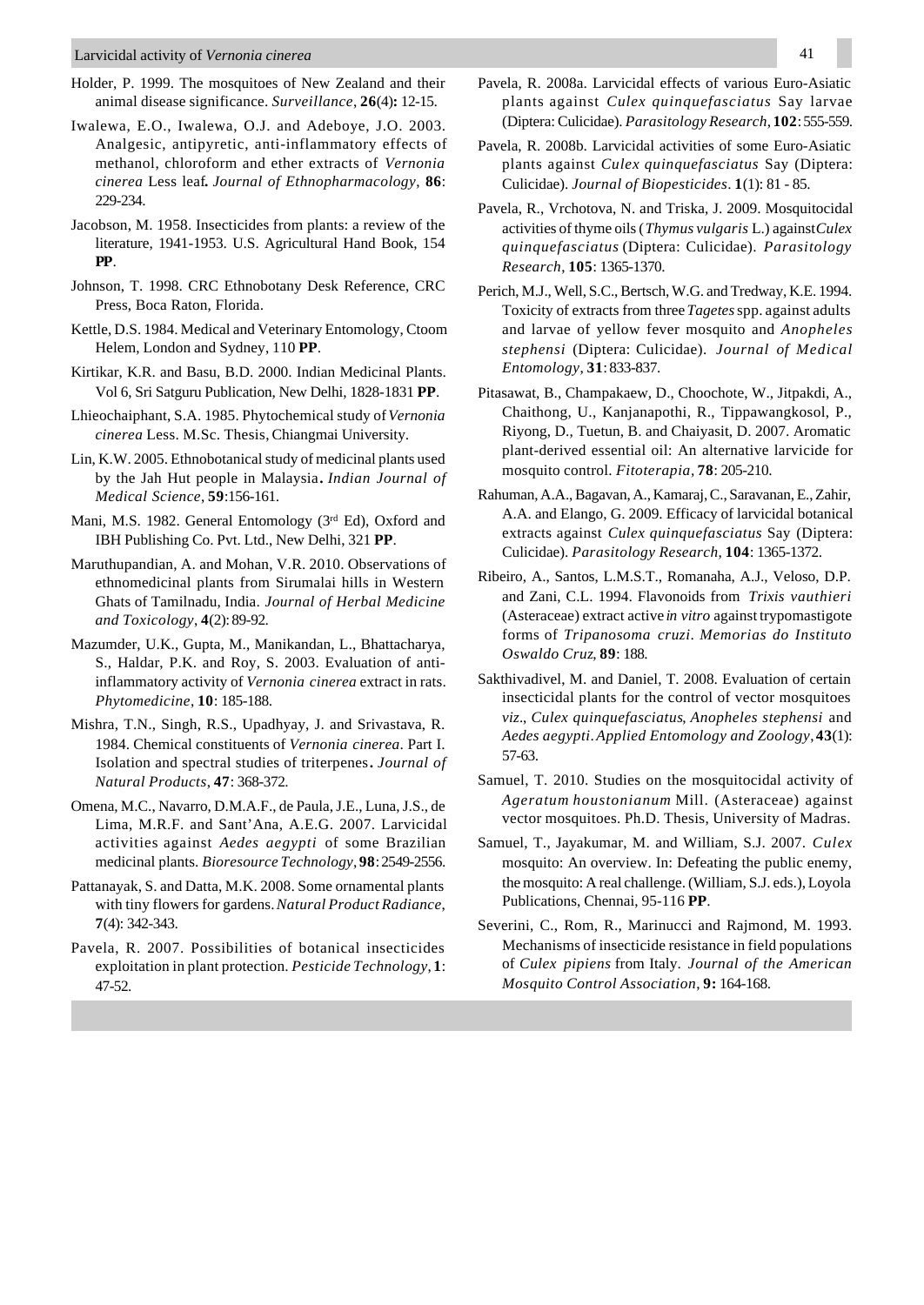- Holder, P. 1999. The mosquitoes of New Zealand and their animal disease significance. *Surveillance*, **26**(4)**:** 12-15.
- Iwalewa, E.O., Iwalewa, O.J. and Adeboye, J.O. 2003. Analgesic, antipyretic, anti-inflammatory effects of methanol, chloroform and ether extracts of *Vernonia cinerea* Less leaf**.** *Journal of Ethnopharmacology*, **86**: 229-234.
- Jacobson, M. 1958. Insecticides from plants: a review of the literature, 1941-1953. U.S. Agricultural Hand Book, 154 **PP**.
- Johnson, T. 1998. CRC Ethnobotany Desk Reference, CRC Press, Boca Raton, Florida.
- Kettle, D.S. 1984. Medical and Veterinary Entomology, Ctoom Helem, London and Sydney, 110 **PP**.
- Kirtikar, K.R. and Basu, B.D. 2000. Indian Medicinal Plants. Vol 6, Sri Satguru Publication, New Delhi, 1828-1831 **PP**.
- Lhieochaiphant, S.A. 1985. Phytochemical study of *Vernonia cinerea* Less. M.Sc. Thesis, Chiangmai University.
- Lin, K.W. 2005. Ethnobotanical study of medicinal plants used by the Jah Hut people in Malaysia**.** *Indian Journal of Medical Science*, **59**:156-161.
- Mani, M.S. 1982. General Entomology (3<sup>rd</sup> Ed), Oxford and IBH Publishing Co. Pvt. Ltd., New Delhi, 321 **PP**.
- Maruthupandian, A. and Mohan, V.R. 2010. Observations of ethnomedicinal plants from Sirumalai hills in Western Ghats of Tamilnadu, India. *Journal of Herbal Medicine and Toxicology*, **4**(2): 89-92.
- Mazumder, U.K., Gupta, M., Manikandan, L., Bhattacharya, S., Haldar, P.K. and Roy, S. 2003. Evaluation of antiinflammatory activity of *Vernonia cinerea* extract in rats. *Phytomedicine*, **10**: 185-188.
- Mishra, T.N., Singh, R.S., Upadhyay, J. and Srivastava, R. 1984. Chemical constituents of *Vernonia cinerea*. Part I. Isolation and spectral studies of triterpenes**.** *Journal of Natural Products*, **47**: 368-372.
- Omena, M.C., Navarro, D.M.A.F., de Paula, J.E., Luna, J.S., de Lima, M.R.F. and Sant'Ana, A.E.G. 2007. Larvicidal activities against *Aedes aegypti* of some Brazilian medicinal plants. *Bioresource Technology*, **98**: 2549-2556.
- Pattanayak, S. and Datta, M.K. 2008. Some ornamental plants with tiny flowers for gardens. *Natural Product Radiance*, **7**(4): 342-343.
- Pavela, R. 2007. Possibilities of botanical insecticides exploitation in plant protection. *Pesticide Technology*, **1**: 47-52.
- Pavela, R. 2008a. Larvicidal effects of various Euro-Asiatic plants against *Culex quinquefasciatus* Say larvae (Diptera: Culicidae). *Parasitology Research*, **102**: 555-559.
- Pavela, R. 2008b. Larvicidal activities of some Euro-Asiatic plants against *Culex quinquefasciatus* Say (Diptera: Culicidae). *Journal of Biopesticides*. **1**(1): 81 - 85.
- Pavela, R., Vrchotova, N. and Triska, J. 2009. Mosquitocidal activities of thyme oils (*Thymus vulgaris* L.) against *Culex quinquefasciatus* (Diptera: Culicidae). *Parasitology Research*, **105**: 1365-1370.
- Perich, M.J., Well, S.C., Bertsch, W.G. and Tredway, K.E. 1994. Toxicity of extracts from three *Tagetes* spp. against adults and larvae of yellow fever mosquito and *Anopheles stephensi* (Diptera: Culicidae). *Journal of Medical Entomology*, **31**: 833-837.
- Pitasawat, B., Champakaew, D., Choochote, W., Jitpakdi, A., Chaithong, U., Kanjanapothi, R., Tippawangkosol, P., Riyong, D., Tuetun, B. and Chaiyasit, D. 2007. Aromatic plant-derived essential oil: An alternative larvicide for mosquito control. *Fitoterapia,* **78**: 205-210.
- Rahuman, A.A., Bagavan, A., Kamaraj, C., Saravanan, E., Zahir, A.A. and Elango, G. 2009. Efficacy of larvicidal botanical extracts against *Culex quinquefasciatus* Say (Diptera: Culicidae). *Parasitology Research*, **104**: 1365-1372.
- Ribeiro, A., Santos, L.M.S.T., Romanaha, A.J., Veloso, D.P. and Zani, C.L. 1994. Flavonoids from *Trixis vauthieri* (Asteraceae) extract active *in vitro* against trypomastigote forms of *Tripanosoma cruzi*. *Memorias do Instituto Oswaldo Cruz*, **89**: 188.
- Sakthivadivel, M. and Daniel, T. 2008. Evaluation of certain insecticidal plants for the control of vector mosquitoes *viz*., *Culex quinquefasciatus*, *Anopheles stephensi* and *Aedes aegypti*. *Applied Entomology and Zoology*, **43**(1): 57-63.
- Samuel, T. 2010. Studies on the mosquitocidal activity of *Ageratum houstonianum* Mill. (Asteraceae) against vector mosquitoes. Ph.D. Thesis, University of Madras.
- Samuel, T., Jayakumar, M. and William, S.J. 2007. *Culex* mosquito: An overview. In: Defeating the public enemy, the mosquito: A real challenge. (William, S.J. eds.), Loyola Publications, Chennai, 95-116 **PP**.
- Severini, C., Rom, R., Marinucci and Rajmond, M. 1993. Mechanisms of insecticide resistance in field populations of *Culex pipiens* from Italy. *Journal of the American Mosquito Control Association*, **9:** 164-168.